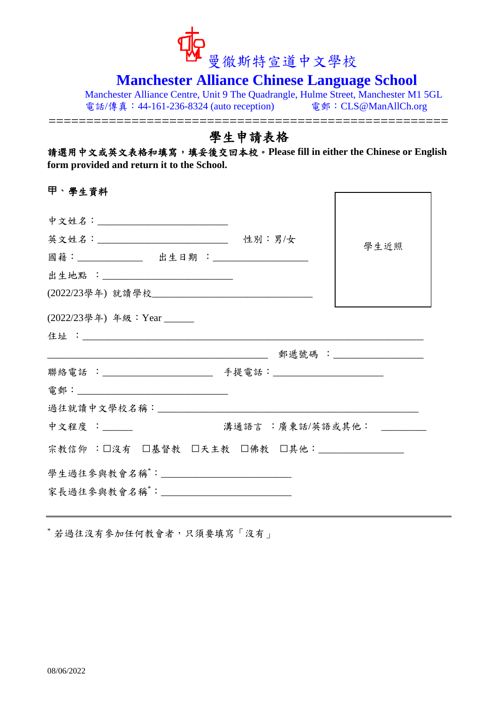

# **Manchester Alliance Chinese Language School**

Manchester Alliance Centre, Unit 9 The Quadrangle, Hulme Street, Manchester M1 5GL 電話/傳真:44-161-236-8324 (auto reception) 電郵:CLS@ManAllCh.org

=====================================================

## 學生申請表格

請選用中文或英文表格和填寫,填妥後交回本校。**Please fill in either the Chinese or English form provided and return it to the School.**

**甲、**學生資料

| 中文姓名:____________________________                                                                               |                  |      |
|-----------------------------------------------------------------------------------------------------------------|------------------|------|
| 英文姓名:___________________________________ 性别:男/女                                                                 |                  | 學生近照 |
| 國籍: ______________ 出生日期 : _____________________                                                                 |                  |      |
| 出生地點 :___________________________                                                                               |                  |      |
|                                                                                                                 |                  |      |
| (2022/23學年) 年級: Year _____                                                                                      |                  |      |
|                                                                                                                 |                  |      |
| <u> 1980 - Johann Stein, mars an t-Amerikaansk kommunister (</u>                                                |                  |      |
|                                                                                                                 |                  |      |
|                                                                                                                 |                  |      |
| 過往就讀中文學校名稱: _____________________                                                                               |                  |      |
| 中文程度 :_____                                                                                                     | 溝通語言 :廣東話/英語或其他: |      |
| 宗教信仰 :□沒有 □基督教 □天主教 □佛教 □其他:_________                                                                           |                  |      |
| 學生過往參與教會名稱 : 2000年 2000年 2000年 2000年 2000年 2000年 2000年 2000年 2000年 2000年 2000年 2000年 2000年 2000年 2000年 2000年 20 |                  |      |
| 家長過往參與教會名稱 : _________________________                                                                          |                  |      |
|                                                                                                                 |                  |      |

\* 若過往沒有參加任何教會者,只須要填寫「沒有」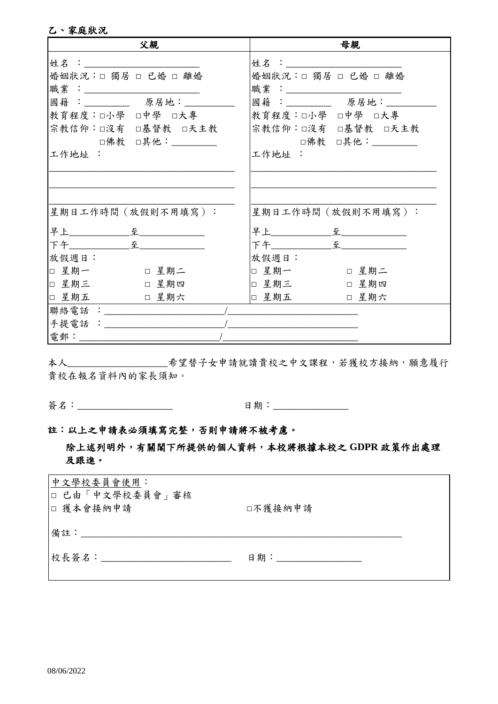#### 乙、家庭狀況

| 父親                                                                                                                                                                                                                           | 母親                                                                                                                                                                                                                           |
|------------------------------------------------------------------------------------------------------------------------------------------------------------------------------------------------------------------------------|------------------------------------------------------------------------------------------------------------------------------------------------------------------------------------------------------------------------------|
| 姓 $A$ : the contract of $A$ is the contract of $A$ is the contract of $A$ is the contract of $A$ is the contract of $A$ is the contract of $A$ is the contract of $A$ is the contract of $A$ is the contract of $A$ is the c | 姓 $A$ : the contract of $A$ is the contract of $A$ is the contract of $A$ is the contract of $A$ is the contract of $A$ is the contract of $A$ is the contract of $A$ is the contract of $A$ is the contract of $A$ is the c |
| 婚姻狀況:□ 獨居 □ 已婚 □ 離婚                                                                                                                                                                                                          | 婚姻狀況:□ 獨居 □ 已婚 □ 離婚                                                                                                                                                                                                          |
|                                                                                                                                                                                                                              |                                                                                                                                                                                                                              |
| 國籍: 原居地:                                                                                                                                                                                                                     | 國籍: 原居地:                                                                                                                                                                                                                     |
| 教育程度:□小學 □中學 □大專                                                                                                                                                                                                             | 教育程度:口小學 口中學 口大專                                                                                                                                                                                                             |
| 宗教信仰:□沒有 □基督教 □天主教                                                                                                                                                                                                           | 宗教信仰:□沒有 □基督教 □天主教                                                                                                                                                                                                           |
| □佛教 □其他: _________                                                                                                                                                                                                           | □佛教 □其他:_________                                                                                                                                                                                                            |
| 工作地址 :                                                                                                                                                                                                                       | 工作地址 :                                                                                                                                                                                                                       |
|                                                                                                                                                                                                                              |                                                                                                                                                                                                                              |
|                                                                                                                                                                                                                              |                                                                                                                                                                                                                              |
|                                                                                                                                                                                                                              |                                                                                                                                                                                                                              |
| 星期日工作時間(放假則不用填寫):                                                                                                                                                                                                            | 星期日工作時間(放假則不用填寫):                                                                                                                                                                                                            |
| 早上______________至______________                                                                                                                                                                                              | 早上______________至_____________                                                                                                                                                                                               |
|                                                                                                                                                                                                                              | 下午________________________________                                                                                                                                                                                           |
| 放假週日:                                                                                                                                                                                                                        | 放假週日:                                                                                                                                                                                                                        |
| □ 星期一<br>□ 星期二                                                                                                                                                                                                               | □ 星期一<br>□ 星期二                                                                                                                                                                                                               |
| □ 星期三<br>□ 星期四                                                                                                                                                                                                               | □ 星期三<br>□ 星期四                                                                                                                                                                                                               |
| □ 星期五<br>□ 星期六                                                                                                                                                                                                               | □ 星期五<br>□ 星期六                                                                                                                                                                                                               |
| 聯絡電話 : ___________                                                                                                                                                                                                           |                                                                                                                                                                                                                              |
| 手提電話 : ____________                                                                                                                                                                                                          |                                                                                                                                                                                                                              |
| 電郵:_______                                                                                                                                                                                                                   |                                                                                                                                                                                                                              |

貴校在報名資料內的家長須知。

簽名:\_\_\_\_\_\_\_\_\_\_\_\_\_\_\_\_\_\_\_\_

日期:\_\_\_\_\_\_\_\_\_\_\_\_\_\_\_\_\_

#### 註:以上之申請表必須填寫完整,否則申請將不被考慮。

### 除上述列明外,有關閣下所提供的個人資料,本校將根據本校之GDPR政策作出處理 及跟進。

| 中文學校委員會使用:<br>□ 已由「中文學校委員會」審核<br>□ 獲本會接納申請 | □不獲接納申請 |
|--------------------------------------------|---------|
| 備註:                                        |         |
| 校長簽名:                                      |         |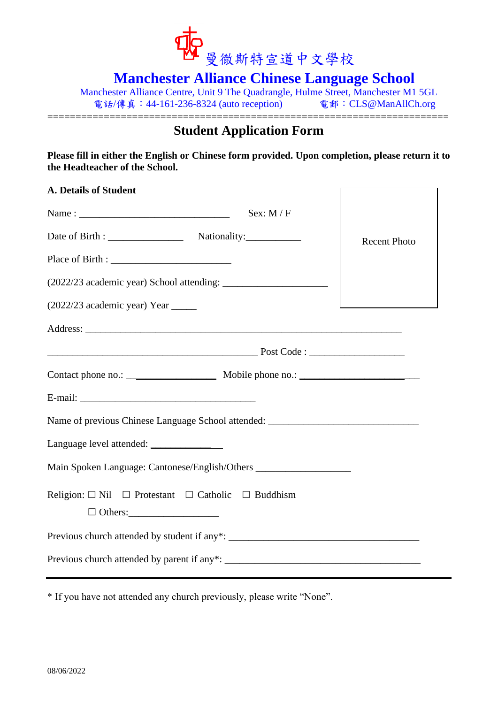

**Manchester Alliance Chinese Language School**

Manchester Alliance Centre, Unit 9 The Quadrangle, Hulme Street, Manchester M1 5GL 電話/傳真: 44-161-236-8324 (auto reception) 電郵: CLS@ManAllCh.org

#### ======================================================================= **Student Application Form**

**Please fill in either the English or Chinese form provided. Upon completion, please return it to the Headteacher of the School.**

| <b>A. Details of Student</b>                                                             |                     |  |
|------------------------------------------------------------------------------------------|---------------------|--|
| Sex: $M / F$                                                                             |                     |  |
|                                                                                          | <b>Recent Photo</b> |  |
|                                                                                          |                     |  |
|                                                                                          |                     |  |
| (2022/23 academic year) Year                                                             |                     |  |
|                                                                                          |                     |  |
|                                                                                          |                     |  |
|                                                                                          |                     |  |
|                                                                                          |                     |  |
| Name of previous Chinese Language School attended: ______________________________        |                     |  |
|                                                                                          |                     |  |
| Main Spoken Language: Cantonese/English/Others                                           |                     |  |
| Religion: $\Box$ Nil $\Box$ Protestant $\Box$ Catholic $\Box$ Buddhism<br>$\Box$ Others: |                     |  |
|                                                                                          |                     |  |
|                                                                                          |                     |  |

\* If you have not attended any church previously, please write "None".